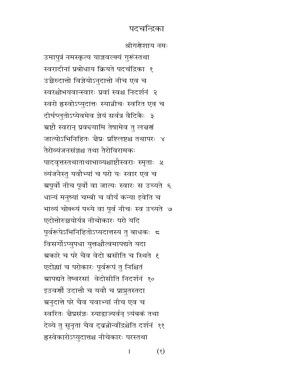श्रीगरोशाय नमः

उमापुत्रं नमस्कृत्य याज्ञवल्क्यं गुरूंस्तथा स्वरादीनां प्रबोधाय क्रियते पदचंद्रिका १ उच्चैरुदात्तो विज्ञेयोऽनुदात्तो नीच एव च स्वरश्चोभयवान्स्वारः प्रवां स्वश्च निदर्शनं २ स्वरो ह्रस्वोऽप्युदात्तः स्यान्रीचः स्वरित एव च दीर्घप्लुतोऽप्येवमेव ज्ञेयं सर्वत्र वैदिकैः ३ ग्रष्टौ स्वरान् प्रवच्यामि तेषामेव तु लच्चणं जात्योऽभिनिहितः चैप्रः प्रश्लिष्टश्च तथापरः ४ तैरोव्यंजनसंजश्च तथा तैरोविरामकः पादवृत्तस्तथाताथाभाव्यश्चाष्टौस्वराः स्मृताः ५ व्यंजनैस्तु यवौभ्यां च परो यः स्वार एव च ग्रपूर्वो नीच पूर्वो वा जात्यः स्वारः स उच्यते ६ धान्यं मनुष्यां चम्बी च वीर्यं कन्या इवेति च भाव्यं चोक्थ्यं पथ्ये वा पूर्व नीचः स्व उच्यते ७ एदोत्तोरुच्चयोर्यत्र नीचोकारः परो यदि पूर्वरूपेऽभिनिहितोऽप्यदात्तस्य तु बाधकः 5 विसर्गोऽप्युपधा युक्तश्चौत्वमापद्यते यदा ग्रकारे च परे चैव वेदो ग्रसीति च स्थिते १ एदोद्यां च परोकारः पूर्वरूपं तु निश्चितं ग्रापद्यते तेष्वरसां वेदोसीति निदर्शनं १० इउवर्णो उदात्तौ च यवौ च प्राप्नुतस्तदा अनुदात्ते परे चैव यवाभ्यां नीच एव च स्वरितः चैप्रसंज्ञः स्याद्राज्यर्वन् त्र्यंबकं तथा देव्ये तु सूनृता चैव द्वन्नोर्न्वीद्रश्चेति दर्शनं ११ हस्वेकारोऽप्युदात्तश्च नीचेकारः परस्तथा

> $(8)$  $\mathbf{1}$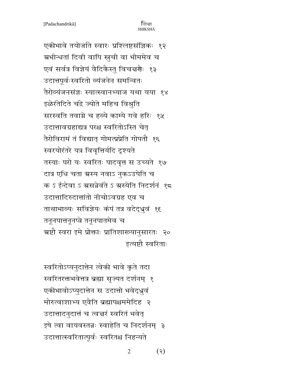एकीभावे तयोर्जाते स्वारः प्रश्लिष्टसंज्ञिकः १२ ग्रभीन्धतां दिवी वापि स्नुची वा भीममेव च एवं सर्वत्र विज्ञेयं वैदिकैस्तु विचत्तर्णैः १३ उदात्तपूर्वःस्वरितो व्यंजनेन समन्वितः तैरोव्यंजनसंज्ञः स्यात्स्वानभ्याज यथा यया १४ इळेरंतेदिते चंद्रे ज्योते महिच विश्रुति सरस्वति तवाग्ने च हव्ये काम्ये गवे हरिः १५ उदात्तावग्रहाद्यत्र परश्च स्वरितोऽस्ति चेत् तैरोविरामं तं विद्यात् गोमत्प्रप्रेति गोपतौ १६ स्वरयोरंतरे यत्र विवृत्तिर्यदि दृश्यते तस्याः परो यः स्वरितः पादवृत्त स उच्यते १७ दात्र एधि चता ग्रस्य नवाऽ नुकऽउपेति च क ऽ ईन्देवा ऽ ग्रसन्नेवंते ऽ ग्रस्येति निदर्शनं १८ उदात्तादिरुदात्तांतो नीचोऽवग्रह एव च ताथाभाव्यः सविज्ञेयः कंपं तत्र वदेद्धूवं १६ तनूनपात्तनूनप्त्रे तनूनपातमेव च ग्रष्टौ स्वरा इमे प्रोक्ताः प्रातिशाख्यानुसारतः २० इत्यष्टौ स्वरिताः

स्वरितोऽप्यनुदात्तेन त्वेकी भावे कृते तदा स्वरितरक्तभवेत्तत्र ब्रह्मा सृज्यत दर्शनम् १ एकीभावोऽप्युदात्तेन स उदात्तो भवेद्ध्रुवं मोरुत्वाशाभ्य एवैति ब्रह्मापश्चममेदिह २ उदात्तादनुदात्तं च त्वचरं स्वरितं भवेत् इषे त्वा वायवस्तन्नः स्वाहेति च निदर्शनम् ३ उदात्तात्स्वरितात्पूर्वः स्वरितश्च निहन्यते

> $(\mathbf{z})$  $\overline{2}$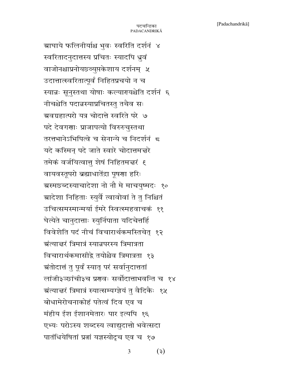ग्राघाये फलिनीर्याश्च भुवः स्वरिति दर्शनं ४ स्वरितादनुदात्तस्य प्रचितः स्यादपि ध्रुवं वाजोनश्चाप्रनोयछ्व्युप्तकेशाय दर्शनम् ५ उदात्तात्स्वरितात्पूर्वं निहितप्रचयो न च स्यान्नः सूनुस्तथा योषाः कल्यारयश्चेति दर्शनं ६ नीचश्चेति पदान्नस्याप्रचितस्तु तथैव सः ग्रवग्रहात्परो यत्र चोदात्ते स्वरिते परे ७ पदे देवगणाः प्राजापत्यो विरुरुचुस्तथा तरत्तभानेऽभिपित्वे च सेनान्ये च निदर्शनं द यदे कस्मिन् पदे जाते स्वारे चोदात्तमत्तरे तमेकं वर्जयित्वात् शेषं निहितमत्तरं ६ वायवस्तूपरो ब्रह्माधातेंद्रा पूषणा हरिः ग्रस्मछब्दस्याचादेशा नो नौ मे माचयुष्मदः १० ग्रादेशा निहिताः स्युर्वै त्वावोवां ते तु निश्चितं उचित्समस्मान्मर्या ईमरे स्वित्स्महवाचकं ११ घेत्येते चानुदात्ताः स्युर्निपाता यदिचेत्तर्हि विवेशेति पदं नीचं विचारार्थकमस्तिचेत् १२ ग्रंत्यात्तरं त्रिमात्रं स्यान्नपरस्य त्रिमात्रता विचारार्थकमासीद्वे तयोश्चैव त्रिमात्रता १३ ग्रंतोदात्तं तु पूर्वं स्यात् परं सर्वानुदात्ततां लांजी३ञ्छांची३च प्रणवः सर्वोदात्ताभवन्ति च १४ ग्रंत्यात्तरं त्रिमात्रं स्यात्सम्यग्ज्ञेयं तु वैदिकैः १५ बोधामेरोचनाकोहं पतेत्वं दिव एव च मंहीय ईश ईशानमेतारः पार इत्यपि १६ एभ्यः परोऽस्य शब्दस्य त्वाद्युदात्तो भवेत्सदा पातंधियेषितां प्रतां यज्ञस्योद्रच एव च १७

> $(\xi)$ 3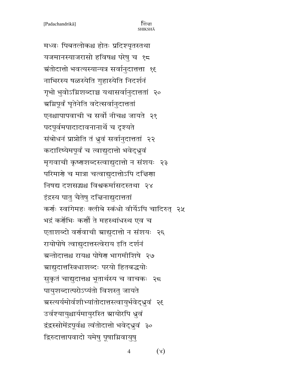मध्वः पिबतलोकश्च होतः प्रदिश्यृतस्तथा यजमानस्याजरासो हविषश्च परेषु च १८ ग्रंतोदात्तो भवत्यस्यान्यत्र सर्वानुदात्तत्ता १६ नाभिरस्य षळस्येति गुहास्येति निदर्शनं गृभो भुवोऽग्निशब्दाञ्च यथासर्वानुदात्ततां २० ग्रग्निपूर्वं घृतेनेति वदेत्सर्वानुदात्ततां एनश्चापापवाची च सर्वो नीचश्च जायते २१ पदपूर्वमपादादावनानार्थे च दृश्यते संबोधनं प्राप्नोति तं ध्रुवं सर्वानुदात्ततां २२ कदारिष्येमपूर्वं च त्वाद्युदात्तो भवेद्धूवं मृगवाची कृष्णशब्दस्त्वाद्युदात्तो न संशयः २३ परिमार्गे च मात्रा चत्वाद्युदात्तोऽपि दद्मिणा निषद्य दशसद्धश्च विश्वकर्मासदस्तथा २४ इंद्रस्य पातु चैतेषु दच्चिनाद्युदात्ततां कर्णः स्वांगेमहः क्लीबे स्कंधो वीर्येऽपि चादिरुत् २५ भद्रं कर्गेभिः कर्गौ ते महस्थांधस्थ एव च एताशब्दो वर्णवाची स्राद्युदात्तो न संशयः २६ रायोपोषे त्वाद्युदात्तस्त्वेराय इति दर्शनं ग्रन्तोदात्तश्च रायश्च पोषेण भागमीशिषे २७ ग्राद्युदात्तस्त्रिधाशब्दः परयो हितबद्धयोः सुकृतं चाद्युदात्तश्च भूतार्थस्य च वाचकः २८ पायुशब्दात्परोऽप्यंतो विशस्तु जायते ग्रस्त्यर्यमोर्वशीभ्यांतोदात्तस्त्वायुर्भवेद्ध्रुवं २६ उर्वश्यायुश्चार्यमायुरस्ति ग्रायोरपि ध्रुवं द्वंद्वस्सोमेंद्रपूर्वश्च त्वंतोदात्तो भवेद्धुवं ३० द्रिरुदात्तापवादो यमेषु पूषाग्निवायुष्

> $(\lambda)$  $\overline{4}$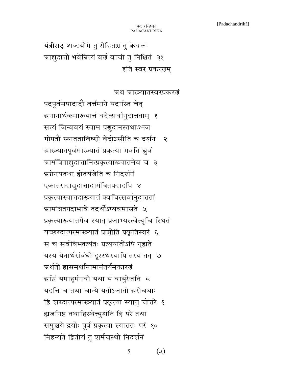यंत्रीराट् शब्दयोगे तु रोहितश्च तु केवलः ग्राद्युदात्तो भवेन्नित्यं वर्ण वाची तु निश्चितं ३१ इति स्वर प्रकरणम

ग्रथ ग्राख्यातस्वरप्रकरणं

पदपूर्वमपादादौ वर्त्तमाने यदास्ति चेत् ग्रनानार्थकमारूयात्तं वदेत्सर्वानुदात्तताम् १ सत्यं जिन्ववयं स्याम प्रणुदानस्तथाऽभज गोपतौ स्यातताविष्णो वेदोऽसीति च दर्शनं २ ग्राख्यातपूर्वमारूयातं प्रकृत्या भवति ध्रुवं ग्रामंत्रिताद्युदात्तानित्प्रकृत्यारूयातमेव च ३ ग्र्य्रमेनयतथा होतर्यजेति च निदर्शनं एकातरादाद्युदात्तादामंत्रितपदादपि ४ प्रकृत्यास्यात्तदारूयातं क्वचित्सर्वानुदात्ततां ग्रामंत्रितपदाभावे तदर्थोऽप्यवमासते ५ प्रकृत्यारूयातमेव स्यात् प्रजाभ्यस्त्वेत्यृचि स्थितं यच्छब्दात्परमारूयातं प्राप्नोति प्रकृतिस्वरं ६ स च सर्वविभक्त्यंतः प्रत्ययांतोऽपि गृह्यते यस्य येनार्थसंबंधो दूरस्थस्यापि तस्य तत् ७ ग्रर्थतो ह्यसमर्थानामानंतर्यमकारणं ञ्चग्निं यमाहर्मनवो यथा यं वायुरेजति <del>प</del> यदत्ति च तथा चान्ये यतोऽजातो ग्ररोचथाः हि शब्दात्परमारूयातं प्रकृत्या स्यात्तु चोत्तरे ६ ह्यजनिष्ट तथाहिस्थेत्सुशंति हि परे तथा समुच्चये द्रयोः पूर्वं प्रकृत्या स्यात्ततः परं १० निहन्यते द्वितीयं तु शर्मचस्थो निदर्शनं

> $(x)$ 5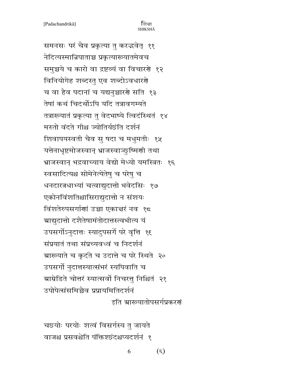समनसः परं चैव प्रकृत्या तु करद्भवेत् ११ नेदित्यस्मान्निपाताञ्च प्रकृत्यारूयातमेवच समुच्चये च कारो वा द्रष्टव्यं वा विचारणे १२ विनियोगेह शब्दस्तु एव शब्दोऽवधारणे च वा हैव पदानां च यद्यनुच्चारणे सति १३ तेषां कथं चिदर्थोऽपि यदि तत्रावगम्यते तत्रारूयातं प्रकृत्या तु वेदभाष्ये त्विदंस्थितं १४ मरुतो वंदते गीश्च ज्योतिर्यछंति दर्शनं शिवापयस्वती चैव सु षदा च मधुमतीः १५ यत्तेनाधृष्टमोजस्वान् भ्राजस्वाञ्छुष्मिणी तथा भ्राजस्वान् भद्रवाच्याय वेद्यो मेध्यो यमस्त्रितः १६ स्वसादित्यश्च सोमेनेत्येतेषु च परेषु च धनदारत्नधाभ्यां चत्वाद्युदात्तो भवेदसिः १७ एकोनविंशतिश्चासिराद्युदात्तो न संशयः विंशतेरुपसर्गाणां उच्चा एकाचरं नव १८ ग्राद्युदात्तो दशैतेषामंतोदात्तस्त्वभीत्य यं उपसर्गोऽनुदात्तः स्यादुपसर्गे परे वृत्ति १६ संप्रयातं तथा संप्रच्यवध्वं च निदर्शनं ग्राख्याते च कृदंते च उदात्ते च परे स्थिते २० उपसर्गो नुदात्तस्यात्संभरं स्यपिवाति च ग्राम्रेडिते चोत्तरं स्यात्सर्वो निचरत्तु निश्चितं २१ उपोपेत्संसमिझैव प्रप्रायमितिदर्शनं इति स्राख्यातोपसर्गप्रकरणं

चछ्योः परयोः शत्वं विसर्गस्य तु जायते वाजश्च प्रसवश्चेति पंक्तिश्छंदश्चप्यदर्शनं १

> $(\epsilon)$ 6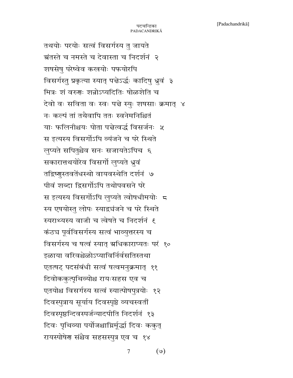तथयोः परयोः सत्वं विसर्गस्य तु जायते ग्रंतस्ते च नमस्ते च देवास्ता च निदर्शनं २ शषसेषु परेष्वेव कखयोः पफयोरपि विसर्गस्तु प्रकृत्या स्यात् पत्तेऽर्द्धः कादिषु ध्रुवं ३ मित्रः शं वरुगः शन्नोऽप्यदितिः षोळशेति च देवो वः सविता वः स्वः पत्ते स्युः शषसाः क्रमात् ४ नः कल्पं तां तथैवापि ततः स्वनेमनिश्चितं याः फलिनीश्चयः पोता पत्तेत्वर्द्ध विसर्जनः ५ स इत्यस्य विसर्गोऽपि व्यंजने च परे स्थिते लुप्यते सपितुश्चैव सनः सजायतेऽपिच ६ सकारात्तथयोरेव विसर्गो लुप्यते ध्रुवं तद्विष्णुस्तवतेंधस्थो वायवस्थेति दर्शनं ७ पीवं शब्दा द्विसर्गोऽपि तथोपवसने परे स इत्यस्य विसर्गोऽपि लुप्यते त्वोषधीमयोः 5 स्य एषयोस्तु लोपः स्याद्वचंजने च परे स्थिते स्यराथ्यस्य वाजी च त्वेषते च निदर्शनं १ कंठच पूर्वविसर्गस्य सत्वं भाव्युत्तरस्य च विसर्गस्य च षत्वं स्यात् अधिकाराप्यतः परं १० इळाया वरिवश्चेळोऽप्याविर्निर्वसतिस्तथा एतत्षट् पदसंबंधी सत्वं षत्वमनुक्रमात् ११ दिवोककुत्पृथिव्योश्च रायःसहस एव च एतयोश्च विसर्गस्य सत्वं स्यात्पोषपुत्रयोः १२ दिवस्पुत्राय सूर्याय दिवस्पृष्ठे व्यचस्वतीं दिवस्पृष्ठन्दिवस्पर्जन्यादपीति निदर्शनं १३ दिवः पृथिव्या पर्योजश्चाम्निर्मूद्धां दिवः ककुत् रायस्पोषेण संश्चैव सहसस्पुत्र एव च १४

> $(\mathcal{O})$  $\overline{7}$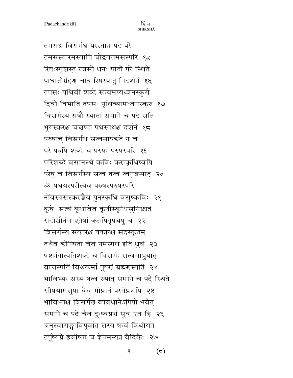तमसश्च विसर्गश्च परस्तान्न पदे परे तमसस्यारमस्यापि चोद्रयत्तमसस्परि १५ रिषःस्पृशस्तु रजसो धनः पातौ परे स्थिते पाधातोर्ग्रहणं चात्र रिषस्पातु निदर्शनं १६ तपसः पृथिवी शब्दे सत्वमप्यध्वनस्कुरौ दिवो विभाति तपसः पृथिव्यामध्वनस्कुरु १७ विसर्गस्य सषौ स्यातां समाने च पदे सति भूयस्करश्च चत्तष्पा पथस्पथश्च दर्शनं १८ परुषात्त् विसर्गश्च सत्वमापद्यते न च परे परुषि शब्दे च परुषः परुषस्परि १६ परिशब्दे वसानस्थे कविः करत्क्रधिष्वपि परेषु च विसर्गस्य सत्वं षत्वं त्वनुक्रमात् २० ॐ षधयस्परीत्येव परुषस्परुषस्परि नोंवस्यसस्करच्चैव पुनस्कृधि वसुष्कविः २१ कृषेः सत्वं कृधावेव कृषीस्कृधिसुनिश्चितं सदोद्यौर्नम एतेषां कृतपितृपथेषु च २२ विसर्गस्य सकारश्च षकारश्च सदस्कृतम् तथैव द्यौष्पिता चैव नमस्पथ इति ध्रुवं २३ षष्ट्यंतात्पतिशब्दे च विसर्गः सत्वमाप्नुयात् वाचस्पतिं विश्वकर्मा पूषणं ब्रह्मणस्पतिं २४ भाविभ्यः सस्य षत्वं स्यात् समाने च पदे स्थिते सीषयामसुषा वैव गोष्ठानं परमेष्ठचपि २५ भाविभ्यश्च विसर्गेण व्यवधानेऽपिषो भवेत् समाने च पदे चैव दुःष्वप्नचं सुव एव हि २६ ग्रनुस्वाराङ्गाविपूर्वात् सस्य षत्वं विधीयते तपूर्ष्यग्ने हवींष्या च ज्ञेयमन्यत्र वैदिकैः २७

 $(\overline{\phantom{a}})$ 8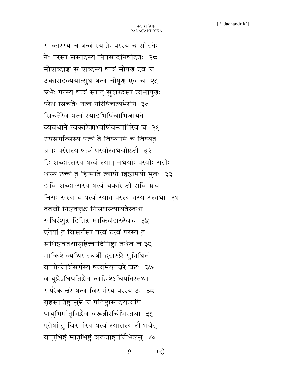स कारस्य च षत्वं स्यान्नेः परस्य च सीदतेः नेः परस्य ससादस्य निषसादनिषीदतः २८ मोशब्दाञ्च सु शब्दस्य षत्वं मोषूरा एव च उकारादव्ययात्सुश्च षत्वं चोषूग एव च २९ ग्रभेः परस्य षत्वं स्यात् सुशब्दस्य त्वभीषुगः परेश्च सिंचतेः षत्वं परिषिंचत्यभेरपि ३० सिंचतेरेव षत्वं स्यादभिषिंचाभिजायते व्यवधाने त्वकारेणाभ्यषिंचन्याभिरेव च ३१ उपसर्गात्सस्य षत्वं ते विष्यामि च विष्यतु ग्रतः परंसस्य षत्वं परयोस्तथयोष्टठौ ३२ हि शब्दात्सस्य षत्वं स्यात् मथयोः परयोः सतोः थस्य ठत्त्वं तु हिष्माते त्वापो हिष्ठामयो भुवः ३३ द्यवि शब्दात्सस्य षत्वं थकारे ठो द्यवि ष्ठच निसः सस्य च षत्वं स्यात् परस्य तस्य टस्तथा ३४ ततचौ निष्टतचुश्च निसश्चस्त्यायतेस्तथा सधिरंश्आदितिश्च माकिर्वंदारुरेवच ३५ एतेषां तु विसर्गस्य षत्वं टत्वं परस्य तु सधिष्टवतथाशुष्टेत्त्वादिनिष्ट्वा तथैव च ३६ माकिष्टे व्यथिरादधर्षी द्वंदारुष्टे सुनिश्चितं वायोरग्नेर्विसर्गस्य षत्वमेकात्तरे चटः ३७ वायुष्टेऽधिपतिश्चैव त्वम्रिष्टेऽधिपतिस्तथा सपरैकाचरे षत्वं विसर्गस्य परस्य टः ३८ बृहस्पतिष्ट्रासुम्ने च पतिष्ट्रासादयत्वपि पायुभिर्मातृभिश्चैव वरूत्रीरर्चिभिस्तथा ३६ एतेषां तु विसर्गस्य षत्वं स्यात्तस्य टौ भवेत् वायुभिष्ट्रं मातृभिष्ट्रं वरूत्रीष्ट्रार्चिभिष्ट्रसु ४०

> $(3)$ 9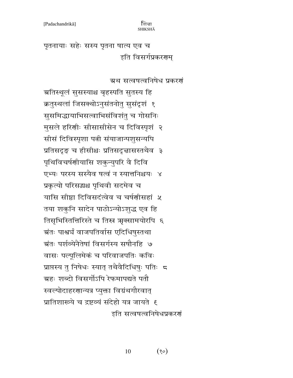पृतनायाः सहेः सस्य पृतना षात्य एव च इति विसर्गप्रकरणम्

# ग्रथ सत्वषत्वनिषेध प्रकरणं

ग्रतिस्थूलं सुसस्याश्च बृहस्पति सुतस्य हि क्रतुस्थलां जिसक्थोऽनुसंतनोतु सुसंदृशं १ सुसमिद्धायाभिसत्वाभिसंविशंतु च गोसनिः मुसले हरिणीः सीसासीसेन च दिविस्पृशं २ सीसं दिविस्पृशा पत्नी संयाजान्पशुसन्यपि प्रतिसदृङ् च हीसीश्चः प्रतिसदृत्तासस्तथैव ३ पृथिविचर्षणीयासि शकुन्युपरि वै दिवि एभ्यः परस्य सस्यैव षत्वं न स्यात्तनिश्चयः ४ प्रकृत्यो परिसद्धश्च पृथिवी सदमेव च यासि सीष्ठा दिविसदंत्वेव च चर्षणीसहां ५ तया शकुनि सादेन पाठोऽन्योऽशुद्ध एव हि तिसृभिस्तितिरिस्ते च तिस्र ऋक्सामयोरपि ६ ग्रंतः पाश्वर्यं वाजपतिर्वास एदिधिषुस्तथा ग्रंतः पर्शव्येनैतेषां विसर्गस्य सषौनहि ७ वासः पल्पूलिमेकं च परिवाजपतिः कविः प्राप्तस्य तु निषेधः स्यात् तथैवैदिधिषुः पतिः 5 ग्रहः शब्दो विसर्गोऽपि रेफमापद्यते पतौ स्वल्पोदाहरणान्यत्र प्युक्ता विग्रंथगौरवात् प्रातिशाख्ये च द्रष्टव्यं संदेहो यत्र जायते ह इति सत्वषत्वनिषेधप्रकरणं

> 10  $(80)$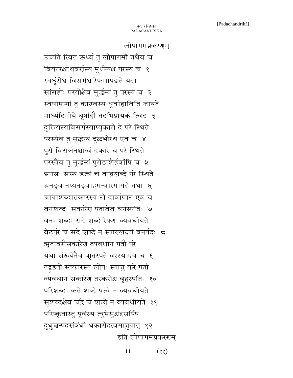#### लोपागमप्रकरणम्

उच्यंते त्वित ऊर्ध्वं तु लोपागमौ तथैव च विकारश्चाथवर्णस्य मूर्धन्यश्च परस्य च १ स्वर्धूरोश्च विसर्गश्च रेफमापद्यते यदा सांसहोः परयोश्चैव मूर्द्धन्यं तु परस्य च २ स्वर्षामप्पां तु कारवस्य धूर्वाहाविति जायते माध्यंदिनीये धूर्षाहौ तदभिप्रायकं त्विदं ३ दुरित्यस्यविसर्गस्याप्यूकारो दे परे स्थिते परस्यैव तु मूर्द्धन्यं दूळभोरथ एव च ४ पुरो विसर्जनश्चोत्वं दकारे च परे स्थिते परस्यैव तु मूर्द्धन्यं पुरोडाशैर्हवींषि च ५ ग्रनसः सस्य डत्वं च वाह्नशब्दे परे स्थिते ग्रनड्वानप्यनड्वाहमन्वारमामहे तथा ६ ग्राघाशब्दात्तकारस्य टो दार्वाघाट एव च वनशब्दः सकारेण पतावेव वनस्पतिः ७ वनः शब्दः सदे शब्दे रेफेर व्यवधीयते वेटपरे च सदे शब्दे न स्याल्लन्दयं वनर्षदः 5 ऋतावरौसकारेण व्यवधानं पतौ परे यथा संख्येनैव ऋृतस्पते वरस्य एव च १ तद्वहतो स्तकारस्य लोपः स्यात्तु करे पतौ व्यवधानं सकारेण तस्करोश्च बृहस्पतिः १० परिशब्दः कृते शब्दे षत्वे न व्यवधीयते सुशब्दश्चैव चंद्रे च शत्वे न व्यवधीयते ११ परिष्कृतास्तु पूर्वस्य त्वुभेसुश्चंद्रसर्पिषः दुधुन्नन्पदसंबंधी धकारोदत्वमाप्नुयात् १२ इति लोपागमप्रकरणम्

> $(3)$ 11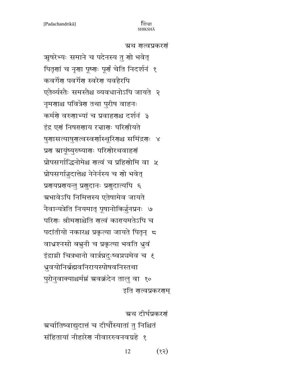#### ग्रथ गत्वप्रकरगं

ऋषरेभ्यः समाने च पदेनस्य तु शो भवेत् पितृणां च नृणा पूष्णः पूर्णं चेति निदर्शनं १ कवर्गेण पवर्गेण स्वरेण यवहैरपि एतैर्व्यस्तैः समस्तैश्च व्यवधानोऽपि जायते २ नृमणाश्च पवित्रेण तथा पुरीष वाहनः कर्मणे वरुणाभ्यां च प्रवाहणश्च दर्शनं ३ इंद्र एगं निषरगाय रत्नागः परिगीयते षुणासत्याषुरात्वस्वर्णास्थूरिराश्च समिंद्रगः ४ प्रण स्रायूंष्युरुष्याणः परिणोरथवाहणं प्रोपसर्गाद्धिनोमेश्च गत्वं च प्रहिंगोमि वा ५ प्रोपसर्गान्नुदात्तेश्च नेनेर्नस्य च शो भवेत् प्रणयप्रणयन्तु प्रणुदानः प्रणुदात्यपि ६ ग्रभावेऽपि निमित्तस्य एतेषामेव जायते नैवान्यत्रेति नियमात् पूषानोकिर्चुनप्रनः ७ परिगः श्रीमगाश्चेति गत्वं कारयमतेऽपि च पदांतीयो नकारश्च प्रकृत्या जायते पितृन् 5 वाध्रश्नसो बभुनी च प्रकृत्या भवति धुवं इंद्राग्नी चित्रभानो वार्त्रघ्नदुःष्वप्नघमेव च १ धुवयोनिर्ब्रह्मवनिरायस्पोषवनिस्तथा पुरोनुवाक्याश्चर्मम् अवक्रंदेन तालु वा १० इति शत्वप्रकरराम्

ग्रथ दीर्घप्रकरणं ग्रर्चातिष्वाद्युदात्तं च दीर्घोस्यातां तु निश्चितं संहितायां नीहारेण नीवाररुवनवग्रहे १

> $(55)$ 12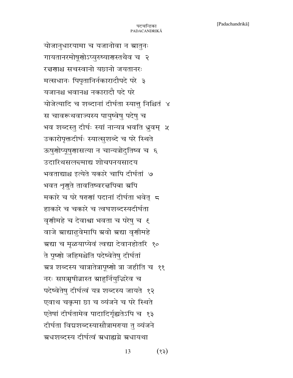योजानुधारयामा च यजानोवा न स्रातुनः गायतानरमोषूणोऽप्युरुष्यारास्तथैव च २ रत्नगाश्च सचस्वानो यछानो जयतानरः मत्सधानः पिपृतानिर्नकारादौपदे परे ३ यजानश्च भवानश्च नकारादौ पदे परे योजेत्यादि च शब्दानां दीर्घता स्यात्तु निश्चितं ४ स चावरूथवाज्यस्य पायुष्वेषु पदेषु च भव शब्दस्तु दीर्घः स्यां नान्यत्र भवति ध्रुवम् ५ उकारोपृक्तदीर्घः स्यात्सुशब्दे च परे स्थिते ऊषुणोप्यूषुणासत्या न चान्यत्रोदुतिष्व च ६ उदारिथसल<del>द</del>माद्य शोचपनयसादय भवताद्याश्च इत्येते यकारे चापि दीर्घतां ७ भवत शृगुते तावतिष्वरत्तपिबा स्रपि मकारे च परे षरणां पदानां दीर्घता भवेत् 5 हाकारे च चकारे च त्वघशब्दस्यदीर्घता वृणीमहे च देवाश्वा भवता च परेषु च १ वाजे स्राद्याढुवेमापि स्रवो स्रद्या वृणीमहे ग्रद्या च मृळयाप्येवं त्वद्या देवानहोतरि १० ते पूष्णो जहिमश्चेति पदेष्वेतेषु दीर्घतां ग्रत्र शब्दस्य चात्रातेत्रापूष्णो त्रा जहीति च ११ नरः सप्त्रमृषीन्नास्त ग्राहुर्नियुद्धिरेव च पदेष्वेतेषु दीर्घत्वं यत्र शब्दस्य जायते १२ एवाथ चक्रमा छा च व्यंजने च परे स्थिते एतेषां दीर्घतामेव पादादिर्गृह्यतेऽपि च १३ दीर्घता विद्यशब्दस्यासौत्रामराया तु व्यंजने ग्रधशब्दस्य दीर्घत्वं ग्रधाह्यग्रे ग्रधायथा

> 13  $(55)$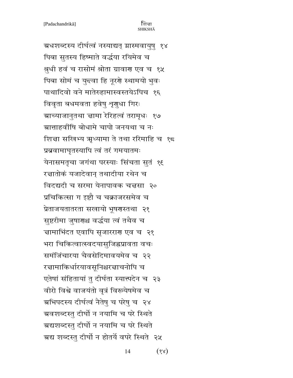ग्रधशब्दस्य दीर्घत्वं नस्याद्यत् ग्रास्मवायुषु १४ पिबा सुतस्य हिष्माते वर्द्धया रयिमेव च श्रुधी हवं च रासोमं श्रोता ग्रावार एव च १५ पिबा सोमं च युन्दवा हि नूरशे स्थामयो भुवः पाथादिवो वने मातेरुहामास्वस्तयेऽपिच १६ विवृता बधमवता हवेषु शृगुधा गिरः ग्राच्याजानुतथा चामा रेरिहत्वं तरामृधः १७ ग्रात्ताहवींषि बोधामे चापो जनयथा च नः शिज्ञा सखिभ्य अध्यामा ते तथा ररिमाहि च १८ प्रब्रवामाघृतस्यापि त्वं तरं गमयातमः येनासमतृचा जगंथा परस्याः सिंचता सुतं १६ रत्नातोकं यजादेवान् तथादीया रथेन च विदद्यदी च सरमा येनापावक चत्तसा २० प्रचिकित्सा ग इष्टौ च चक्राजरसमेव च प्रेताजयतातरता सखायो भूषणस्तथा २१ सुष्टरीमा जुषाराश्च वर्द्धया त्वं तथैव च न्नामाभिंदत एवापि सृजारराण एव च २१ भरा चिकित्वात्स्वदयासुजिह्वप्रावता वचः समंजिंचारया चैवसेदिमावयमेव च २२ रत्नामाकिर्धारयावसूनिश्चरत्नाचनोपि च एतेषां संहितायां तु दीर्घता स्यात्त्पदेन च २३ वीरो विश्वे वाजयंतो वृत्रं विरूयेषमेव च ग्रभिपदस्य दीर्घत्वं नैतेषु च परेषु च २४ ग्रवशब्दस्तु दीर्घो न नयामि च परे स्थिते ग्रद्यशब्दस्तु दीर्घो न नयामि च परे स्थिते ग्रद्य शब्दस्तु दीर्घो न होतर्ये वपरे स्थिते २५

> 14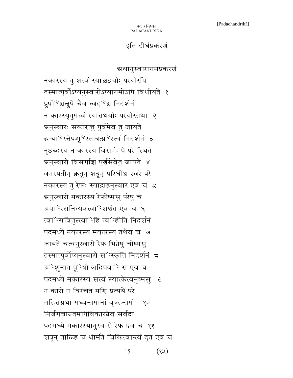### इति दीर्घप्रकरणं

### ग्रथानुस्वारागमप्रकरणं

नकारस्य तु शत्वं स्याच्चछ्योः परयोरपि तस्मात्पूर्वोऽप्यनुस्वारोऽप्यागमोऽपि विधीयते १ प्रुषी<sup>1</sup>श्रद्बुषे चैव त्वह<sup>2</sup>श्च निदर्शनं न कारस्यृतुमत्वं स्यात्तथयोः परयोस्तथा २ ग्रनुस्वारः सकारात्तु पूर्वमेव तु जायते ग्रन्या<sup>3</sup>रत्तेपशू<sup>3</sup>स्तात्रत्प्र<sup>2</sup>स्त्वं निदर्शनं ३ नृछब्दस्य न कारस्य विसर्गः पे परे स्थिते अनुस्वारो विसर्गाञ्च पूर्णसेवेतु जायते ४ वनस्पतीन् क्रतून् शत्रून् परिधींश्च स्वरे परे नकारस्य तु रेफः स्याद्राहनुस्वार एव च ५ ग्रनुस्वारो मकारस्य रेफोष्मसु परेषु च ग्रपा<sup>2</sup>रसनित्यवत्त्वा<sup>2</sup>शश्वंत एव च ६ त्वा<sup>1</sup>सवितुस्त्वा<sup>12</sup>हि त्व<sup>12</sup>हीति निदर्शनं पदमध्ये नकारस्य मकारस्य तथैव च ७ जायते चत्वनुस्वारो रेफ भिन्नेषु चोष्मसु तस्मात्पूर्वोप्यनुस्वारो स<sup>्र</sup>स्कृति निदर्शनं 5 ग्र<sup>1</sup>शृनात पू<sup>र</sup>षी जदिपवा<sup>1</sup> स एव च पदमध्ये मकारस्य सत्वं स्यात्केत्वनुष्मसु । १ न कारो न विरंचत मणि प्रत्यये परे महित्तग्रथा मध्वन्तमानां वृत्रहन्तमं १० निर्जगचान्नतमपिविकारन्नैव सर्वदा पदमध्ये मकारस्यानुस्वारो रेफ एव च ११ शत्रून् ताळ्हि च धीमंते चिकित्वान्त्वं दूत एव च

> 15  $(3x)$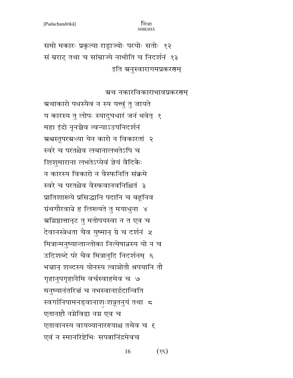समो मकारः प्रकृत्या राड्राज्योः परयोः सतोः १२ सं म्रराट् तथा च सांम्राज्ये नाभीति च निदर्शनं १३ इति अनुस्वारागमप्रकरणम्

# ग्रथ नकारविकाराभावप्रकरणम्

ग्रथाकारो पधस्यैव न स्य यत्त्वुं तु जायते य कारस्य तु लोपः स्यादुघधारं जनं भवेत् १ महा इंद्रो नृनच्चैव त्वन्याऽउपनिदर्शनं ग्रश्वस्तूपरग्रध्या येन कारो न विकारतां २ स्वरे च परतश्चैव लबानालभतेऽपि च शिशुमाराना लभतेऽप्येवं ज्ञेयं वैदिकैः न कारस्य विकारो न वैस्फनिति संक्रमे स्वरे च परतश्चैव वैस्फवानवनिश्चितं ३ प्रातिशाख्ये प्रसिद्धानि पदानि च बहूनिव ग्रंथगौरवान्ने ह लिरूयते तु मयाधुना ४ <u>ग्रग्निष्ठात्तानुट तु</u> मतोपयस्वा न त एव च देवानस्त्रेधता चैव युष्मान् ग्रे च दर्शनं ५ मित्रान्मनुष्यान्तान्लोका नित्येषान्नस्य यो न च उदिशब्दे परे चैव मित्रानुदि निदर्शनम् ६ भन्नान् शब्दस्य योनस्य त्वाप्नोतौ श्रपयानि तौ गृहानुपगृहानैमि वर्चस्वाहमेव च ७ मनुष्यानंतरित्तं च नभस्वानार्द्रदान्विति स्वर्गानिपामनड्वानाशःशत्रूतनुयं तथा ८ एतानष्टौ नग्नेविद्वा नग्न एव च एतावानस्य वायव्यानाररयाश्च तथैव च १ एवं न स्मानरिष्टेभिः सपत्नानिंद्रमेवच

> $(\xi \xi)$ 16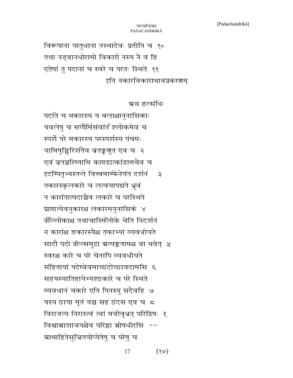विरूपाना यातुधाना नस्थादेवः प्रतीति च १० तथा नड़वानधोरामो विकारो नस्य नै व हि एतेषां तु पदानां च स्वरे च परतः स्थिते ११ इति नकारविकाराभावप्रकरणम्

### ग्रथ हल्संधिः

पदांते च भकारस्य य बलाश्चानुनासिकाः यवलेषु च सप्पैर्मिसंवांत श्लोकमेव च स्पर्शे परे मकारस्य परस्पर्शस्य पंचमः यामिषुङ्गिरिशतैव ब्रतङ्करगुत एव च २ एवं व्रतञ्चरिष्यामि काराडात्कांडात्तथैव च इदम्पितृभ्यस्तन्ते वित्त्वमाम्फेनेघंत दर्शनं  $\mathfrak{Z}$ तकारस्कृलकारे च लत्वयापद्यते ध्रुवं न कारांतात्पदाच्चेव लकारे च परस्थिते प्राप्तात्येवनुकारश्च लकारमनुनासिकं ४ त्रौँल्लोकाश्च तथाचास्मिँलोके चेति निदर्शनं न कारांश्च ङकारस्यैश्च तकाभ्यां व्यवधीयते सादौ पदो त्रीन्त्समुद्रा ग्रत्यङ्कतामश्च वा भवेत् ५ स्वरश्च कारे च परे चेनापि व्यवधीयते संहितायां पदेष्वेवमाच्छंदोच्छावदामसि ६ सहयस्यातिहायेभ्यश्छकारे च परे स्थिते व्यवधानं चकारे एति पिनस्यु सदैवहि ७ यस्य छाया मृतं यञ्च सह छंदस एव च ८ विराजत्य निरास्त्वं त्वां मवीवृधन् परिद्विषः १ विश्वाग्राशाजयश्चैव परिष्ठा स्रोषधीरसि --ग्राभाहितेसुचितयोप्येतेषु च परेषु च

> $(8)$ 17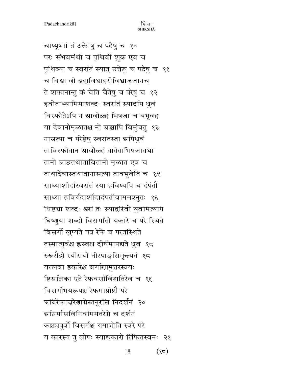चाप्यूष्मां तं उक्ते षु च पदेषु च १० परः संभवमंथी च पृथिवीं शुक्र एव च पृथिव्या च स्वरांतं स्यात् उक्तेषु च पदेषु च ११ च विश्वा वो ब्रह्मविश्चाहरीविश्वाजजानच ते शफानान्तु कं चेति चैतेषु च परेषु च १२ हवोताभ्यामिमाशब्दः स्वरांतं स्यादपि ध्रुवं विस्फोतेऽपि न ग्रावोळ्हं भिषजा च बभूवह या देवानोमृळातश्च नो ग्रज्ञापि विमुंचतु १३ नासत्या च परेष्ठेषु स्वरांतस्ता म्रपिधूवं ताविस्फोतान ग्रावोळ्हं तातेताभिषजातथा तानो स्राछ्तथातावितानो मृळात एव च ताथादेवास्तथातानासत्या तावभूवेति च १५ साध्याशीर्दास्वरांतं स्या हविष्यपि च दंपंतौ साध्या हविर्यदार्शीदादंपतीवाममश्नुतः १६ धिष्ट्या शब्दः श्वरां तः स्याद्ररिवो युवमित्यपि धिष्णुया शब्दो विसर्गांतो यकारे च परे स्थिते विसर्गो लुप्यते यत्र रेफे च परतस्थिते तस्मात्पूर्वश्च ह्रस्वश्च दीर्घमापद्यते ध्रुवं १८ रुरूरौद्रो रयीरायो नीरपाङ्सिमृत्त्यतं १८ यरलवा हकारेश्च वर्गाणामुत्तरस्त्रयः ष्टिसज्ञिका एते रेफवर्णाविंशतिरेव च १९ विसर्गोभयरूपश्च रेफमाप्रोष्टौ परे अग्निरेफा चरेणाग्नेस्तनूरसि निदर्शनं २० ञ्रग्निर्मासविनिर्वाममंतरेग्ने च दर्शनं कष्ठचपूर्वो विसर्गश्च यमाप्नोति स्वरे परे य कारस्य तु लोपः स्याद्यकारो रिफितस्वनः २१

> 18  $(32)$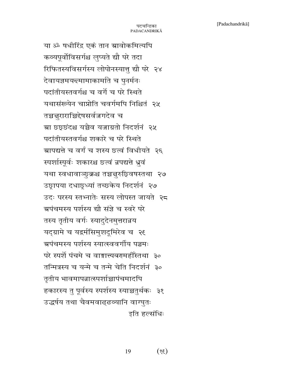या ॐ षधीरिंद्र एकं तान स्रावोकमित्यपि कव्यपूर्वोविसर्गश्च लुप्यते द्यौ परे तदा रिफितस्यविसर्गस्य लोपोनस्यात्तु द्यौ परे २४ देवायज्ञमय<del>द</del>मामाकार्माते च पुनर्मनः पदांतीयस्तवर्गश्च च वर्गे च परे स्थिते यथासंख्येन चाप्नोति चवर्गमपि निश्चितं २५ तच्चनुराराच्चिद्देषसर्वज्जगदेव च ग्रा छछछंदश्च यच्चैव यजाग्रतो निदर्शनं २५ पदांतीयस्तवर्गश्च शकारे च परे स्थिते ग्रापद्यत्ते च वर्गं च शस्य छत्वं विधीयते २६ स्पर्शास्पूर्वः शकारश्च छत्वं न्नपद्यत्ते ध्रुवं यथा स्वधावाञ्छुक्रश्च तच्चतुरुछिवषस्तथा २७ उछ्रापया दधाछूध्यां तच्छकेय निदर्शनं २७ उदः परस्य स्तभ्नातेः सस्य लोपस्त जायते २८ ग्रपंचमस्य पर्शस्य द्यौ संजे च स्वरे परे तस्य तृतीय वर्गः स्यादुदेनमुत्तरान्नय यद्ग्रामे च यद्वर्मसिमुशदूमिरेव च २९ ग्रपंचमस्य पर्शस्य स्यात्स्ववर्गीय पञ्चमः परे स्पर्शे पंचमे च वाङ्मात्त्यबरामहीँस्तथा ३० तन्मित्रस्य च यन्मे च तन्मे चेति निदर्शनं ३० तृतीय भावमापन्नात्स्पर्शाच्चापंचमादपि हकारस्य तु पूर्वस्य स्पर्शस्य स्याच्चतुर्थकः ३१ उद्धर्षय तथा चैवमवाढ्ढव्यानि वाग्घुतः इति हल्संधिः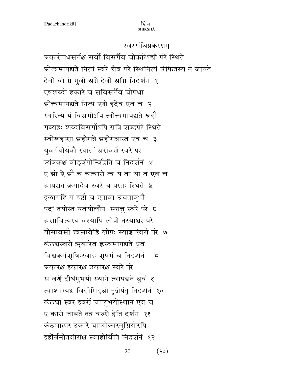### स्वरसंधिप्रकरणम्

ग्रकारोपधसर्गश्च सर्वो विसर्गैव चोकारेऽद्यौ परे स्थिते ग्रोत्वमापद्यते नित्यं स्वरे चैव परे स्थिनित्यं रिफितस्य न जायते देवो वो ग्रे गुवो स्रग्रे देवो स्रग्नि निदर्शनं १ एषशब्दो हकारे च सविसर्गैव चोपधा ग्रोत्त्वमापद्यते नित्यं एषो हदेव एव च २ स्वरित्य यं विसर्गोऽपि त्त्वोत्त्वमापद्यते रूहौ गव्यहः शब्दविसर्गोऽपि रात्रि शब्दपरे स्थिते स्वोरूहाणा ग्रहोरात्रे ग्रहोरात्रास्त एव च ३ युवर्गयोर्यवौ स्यातां ग्रसवर्णे स्वरे परे त्र्यंबकश्च वीड्वंगोन्विंद्रेति च निदर्शनं ४ ए स्रो ऐ स्रौ च चत्वारो त्व य वा या व एव च ग्रापद्यते क्रमादेव स्वरे च परतः स्थिते ५ इळागहि ग इष्टौ च एतावा उचतावुभौ पदां तयोस्त यवयोर्लोपः स्यात्तु स्वरे परे ६ ग्रसावित्यस्य वस्यापि लोपो नस्याश्नरे परे योसावसौ त्त्वसावेहि लोपः स्याच्चत्त्विरौ परे ७ कंठघस्वरो ऋकारेव हस्वमापद्यते ध्रुवं विश्वकर्मभूषिःस्वाह अृषभं च निदर्शनं  $\sqrt{5}$ ग्रकारश्च इकारश्च उकारश्च स्वरे परे स वर्णे दीर्घमुभयो स्थाने त्वापद्यते ध्रुवं ६ त्वाशाभ्यश्च विहीमिद्ध्रो नूजेपंतु निदर्शनं १० कंठ्या स्वर इवर्णे चाप्युभयोस्थान एव च ए कारो जायते तत्र वरुगे हेति दर्शनं ११ कंठघात्पर उकारे चाप्योकारमुग्रियोरपि इहोंर्ज़मोतवीरांश्च स्वाहोर्विति निदर्शनं १२

> $(30)$ 20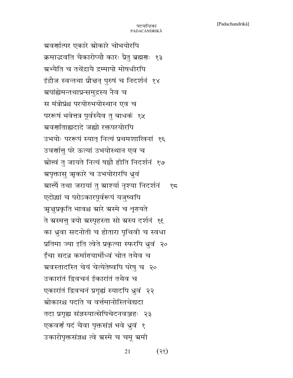ग्रवर्णात्पर एकारे स्रोकारे चोभयोरपि क्रमाद्भवति चैकारोप्यौ कारः प्रैत् ब्रह्मणः १३ ग्रभ्यैति च तथेंद्रायै द्रम्मापो मोषधीरपि इंद्रौज स्वन्तथा प्रौत्तन् पुरुषं च निदर्शनं १४ ग्रपांह्येमन्तथाप्रन्समुद्रस्य नैव च स मंत्रोप्रंश्च परयोरुभयोस्थान एव च पररूषं भवेत्तत्र पूर्वस्यैव तु बाधकं १५ ञ्चवर्णांताह्यदादे जह्यो रक्तपरयोरपि उभयोः पररूपं स्यात् नित्यं प्रथमशाखिनां १६ उवर्णातु परे ऊत्यां उभयोस्थान एव च ओत्त्वं तु जायते नित्यं षष्ठौ हीति निदर्शनं १७ ग्रपृक्तासु ऋकारे च उभयोरारपि ध्रुवं ग्रात्त्यै तथा जरायां तु ग्राश्यां नृश्या निदर्शनं १८ एदोद्यां च परोऽकारपूर्वरूपं यजुष्वपि अन्तुप्रकृति भावश्च स्रारे स्रस्मे च शृरायते ते ग्रस्मत्तु त्रयो ग्रस्पृहस्ता सो ग्रस्य दर्शनं १६ का ध्रुवा सदनोती च होतारा पृथिवी च स्वधा प्रतिमा ज्या इति त्वेते प्रकृत्या स्फरपि ध्रुवं २० ईंचा सदन्न कर्मारयार्मोध्वं चोत तथैव च ग्रवस्तादस्ति चेयं चेत्येतेष्वपि परेषु च २० उकारांतं द्विवचनं ईकारांतं तथैव च एकारांतं द्विवचनं प्रगृह्यं स्यादपि ध्रुवं २२ <u>स्रोकारश्च पदांते च वर्त्तमानोस्तिचेद्यटा</u> तदा प्रगृह्य संज्ञस्यात्सेपिचेदनवञ्जहः २३ एकवर्णं पदं चैवा पृक्तसंज्ञं भवे ध्रुवं १ उकारोपृक्तसंज्ञश्च त्वे ग्रस्मे च चमू ग्रमी

> 21  $(35)$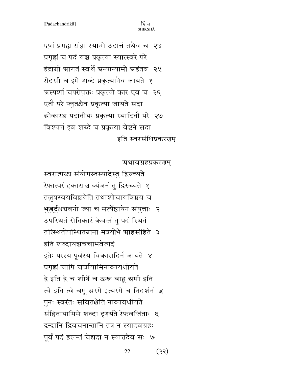एषां प्रगह्य संज्ञा स्यान्मे उदात्तं तथैव च २४ प्रगृह्यं च पदं यच्च प्रकृत्या स्यात्स्वरे परे इंद्राग्नी ग्रागतं स्वर्थे ग्रन्यान्यामो ग्रहंतव) २५ रोदसी च इमे शब्दे प्रकृत्यानैव जायते १ ग्रस्पर्शा चपरोपृक्तः प्रकृत्यो कार एव च २६ एतौ परे प्लुतश्चैव प्रकृत्या जायते सदा ग्रोकारश्च पदांतीयः प्रकृत्या स्यादितौ परे २७ विश्यर्त इव शब्दे च प्रकृत्या वेष्टने सदा इति स्वरसंधिप्रकरणम्

ग्रथावग्रहप्रकरगम्

स्वरात्परश्च संयोगस्तस्यादेस्तु द्विरुच्यते रेफात्परं हकाराच्च व्यंजनं तु द्विरुच्यते <mark>१</mark> तज़ुषस्वयविष्ठयेति तथाशोचायविष्ठय च भुज़ुर्दुश्चघवनो ज्या च मर्त्येष्ठायेन संयुत्ताः २ उपस्थितं सेतिकारं केवलं तु पदं स्थितं तत्स्थितोपस्थितन्नाना मत्रयोभे स्राहसंहिते ३ इति शब्दायञ्चचचाभवेत्पदं इतेः परस्य पूर्वस्य विकारादिर्न जायते ४ प्रगृह्यं चापि चर्चायामिनाव्ययधीयते द्वे इति द्वे च शीर्षे च ऊरू बाहू ग्रमी इति त्वे इति त्वे चमू ग्रस्मे इत्यस्मे च निदर्शनं ५ पुनः स्वरंतः सवितश्चेति नाव्यवधीयते संहितायामिमे शब्दा दृश्यंते रेफवर्जिताः ६ द्वन्द्वानि द्विवचनान्तानि तत्र न स्यादवग्रहः पूर्वं पदं हलन्तं चेद्यदा न स्यात्तदैव सः ७

> 22  $(35)$